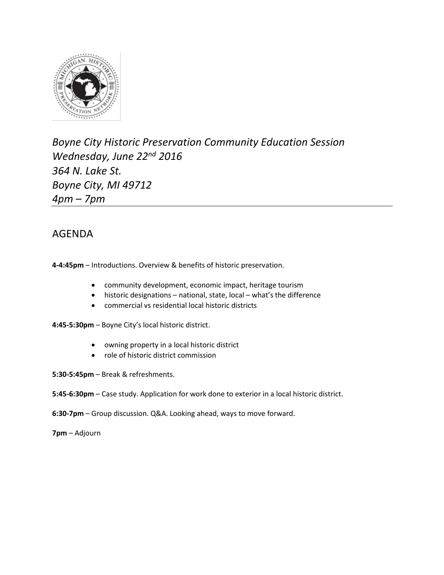

*Boyne City Historic Preservation Community Education Session Wednesday, June 22nd 2016 364 N. Lake St. Boyne City, MI 49712 4pm – 7pm*

## AGENDA

**4-4:45pm** – Introductions. Overview & benefits of historic preservation.

- community development, economic impact, heritage tourism
- historic designations national, state, local what's the difference
- commercial vs residential local historic districts

**4:45-5:30pm** – Boyne City's local historic district.

- owning property in a local historic district
- role of historic district commission
- **5:30-5:45pm** Break & refreshments.
- **5:45-6:30pm** Case study. Application for work done to exterior in a local historic district.
- **6:30-7pm** Group discussion. Q&A. Looking ahead, ways to move forward.

**7pm** – Adjourn